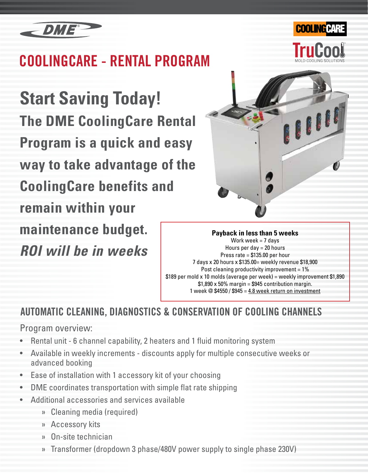

# **COOLINGCARE - RENTAL PROGRAM**

**Start Saving Today! The DME CoolingCare Rental Program is a quick and easy way to take advantage of the CoolingCare benefits and remain within your maintenance budget.** *ROI will be in weeks*



**COOLING CAR** 

**Payback in less than 5 weeks** Work week  $= 7$  days Hours per day  $= 20$  hours Press rate = \$135.00 per hour 7 days x 20 hours x \$135.00= weekly revenue \$18,900 Post cleaning productivity improvement  $= 1\%$ \$189 per mold x 10 molds (average per week) = weekly improvement \$1,890  $$1,890 \times 50\%$  margin = \$945 contribution margin. 1 week @ \$4550 / \$945 = 4.8 week return on investment

### AUTOMATIC CLEANING, DIAGNOSTICS & CONSERVATION OF COOLING CHANNELS

### Program overview:

- Rental unit 6 channel capability, 2 heaters and 1 fluid monitoring system
- Available in weekly increments discounts apply for multiple consecutive weeks or advanced booking
- Ease of installation with 1 accessory kit of your choosing
- DME coordinates transportation with simple flat rate shipping
- Additional accessories and services available
	- » Cleaning media (required)
	- » Accessory kits
	- » On-site technician
	- » Transformer (dropdown 3 phase/480V power supply to single phase 230V)